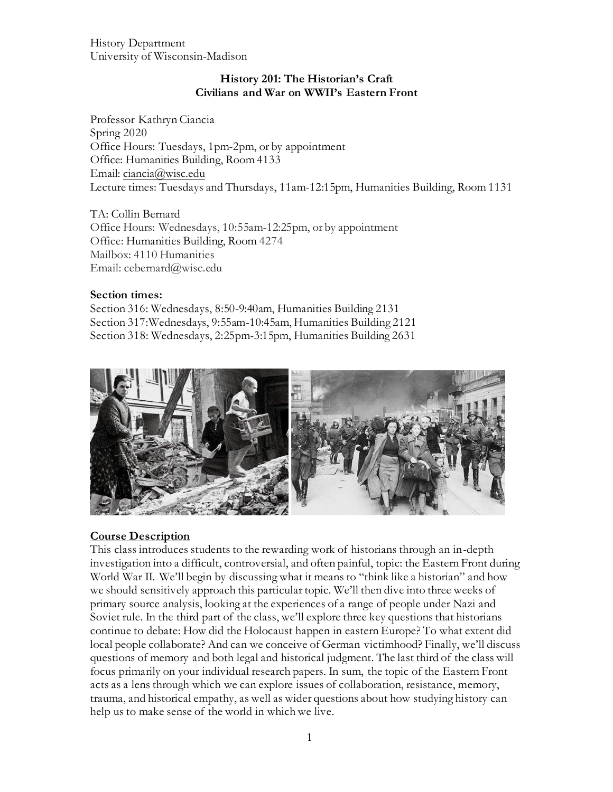### **History 201: The Historian's Craft Civilians and War on WWII's Eastern Front**

Professor Kathryn Ciancia Spring 2020 Office Hours: Tuesdays, 1pm-2pm, or by appointment Office: Humanities Building, Room 4133 Email: [ciancia@wisc.edu](mailto:ciancia@wisc.edu) Lecture times: Tuesdays and Thursdays, 11am-12:15pm, Humanities Building, Room 1131

TA: Collin Bernard Office Hours: Wednesdays, 10:55am-12:25pm, or by appointment Office: Humanities Building, Room 4274 Mailbox: 4110 Humanities Email: cebernard@wisc.edu

### **Section times:**

Section 316: Wednesdays, 8:50-9:40am, Humanities Building 2131 Section 317:Wednesdays, 9:55am-10:45am, Humanities Building 2121 Section 318: Wednesdays, 2:25pm-3:15pm, Humanities Building 2631



### **Course Description**

This class introduces students to the rewarding work of historians through an in-depth investigation into a difficult, controversial, and often painful, topic: the Eastern Front during World War II. We'll begin by discussing what it means to "think like a historian" and how we should sensitively approach this particular topic. We'll then dive into three weeks of primary source analysis, looking at the experiences of a range of people under Nazi and Soviet rule. In the third part of the class, we'll explore three key questions that historians continue to debate: How did the Holocaust happen in eastern Europe? To what extent did local people collaborate? And can we conceive of German victimhood? Finally, we'll discuss questions of memory and both legal and historical judgment. The last third of the class will focus primarily on your individual research papers. In sum, the topic of the Eastern Front acts as a lens through which we can explore issues of collaboration, resistance, memory, trauma, and historical empathy, as well as wider questions about how studying history can help us to make sense of the world in which we live.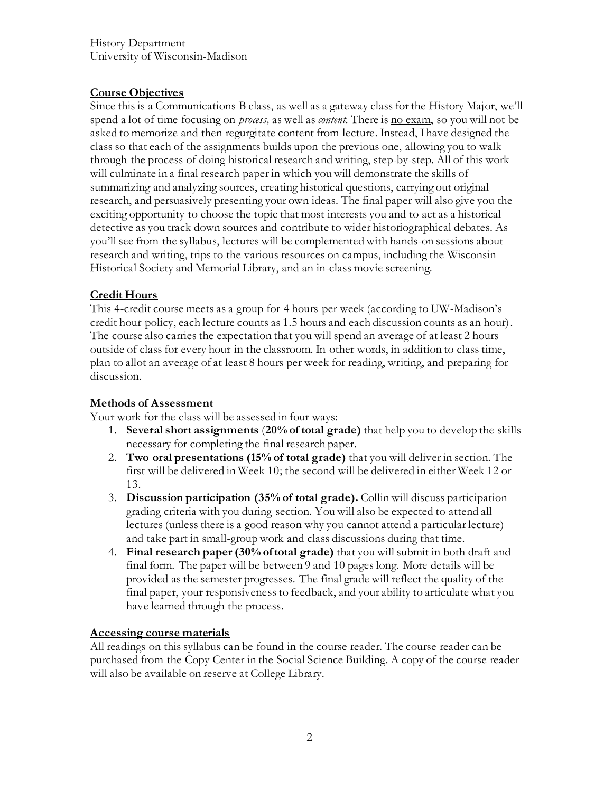### **Course Objectives**

Since this is a Communications B class, as well as a gateway class for the History Major, we'll spend a lot of time focusing on *process,* as well as *content.* There is no exam, so you will not be asked to memorize and then regurgitate content from lecture. Instead, I have designed the class so that each of the assignments builds upon the previous one, allowing you to walk through the process of doing historical research and writing, step-by-step. All of this work will culminate in a final research paper in which you will demonstrate the skills of summarizing and analyzing sources, creating historical questions, carrying out original research, and persuasively presenting your own ideas. The final paper will also give you the exciting opportunity to choose the topic that most interests you and to act as a historical detective as you track down sources and contribute to wider historiographical debates. As you'll see from the syllabus, lectures will be complemented with hands-on sessions about research and writing, trips to the various resources on campus, including the Wisconsin Historical Society and Memorial Library, and an in-class movie screening.

### **Credit Hours**

This 4-credit course meets as a group for 4 hours per week (according to UW-Madison's credit hour policy, each lecture counts as 1.5 hours and each discussion counts as an hour). The course also carries the expectation that you will spend an average of at least 2 hours outside of class for every hour in the classroom. In other words, in addition to class time, plan to allot an average of at least 8 hours per week for reading, writing, and preparing for discussion.

### **Methods of Assessment**

Your work for the class will be assessed in four ways:

- 1. **Several short assignments** (**20% of total grade)** that help you to develop the skills necessary for completing the final research paper.
- 2. **Two oral presentations (15% of total grade)** that you will deliver in section. The first will be delivered in Week 10; the second will be delivered in either Week 12 or 13.
- 3. **Discussion participation (35% of total grade).** Collin will discuss participation grading criteria with you during section. You will also be expected to attend all lectures (unless there is a good reason why you cannot attend a particular lecture) and take part in small-group work and class discussions during that time.
- 4. **Final research paper(30% of total grade)** that you will submit in both draft and final form. The paper will be between 9 and 10 pages long. More details will be provided as the semester progresses. The final grade will reflect the quality of the final paper, your responsiveness to feedback, and your ability to articulate what you have learned through the process.

### **Accessing course materials**

All readings on this syllabus can be found in the course reader. The course reader can be purchased from the Copy Center in the Social Science Building. A copy of the course reader will also be available on reserve at College Library.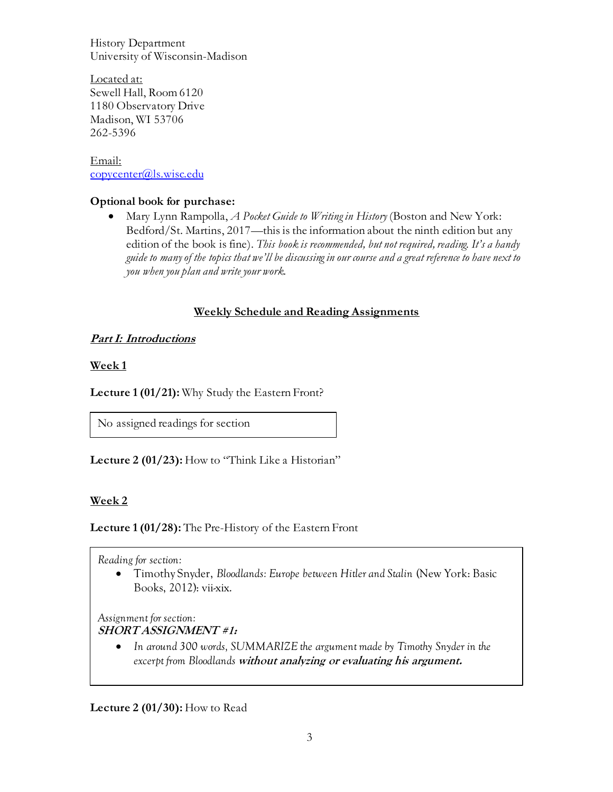Located at: Sewell Hall, Room 6120 1180 Observatory Drive Madison, WI 53706 262-5396

Email: [copycenter@ls.wisc.edu](mailto:copycenter@ls.wisc.edu)

## **Optional book for purchase:**

 Mary Lynn Rampolla, *A Pocket Guide to Writing in History* (Boston and New York: Bedford/St. Martins, 2017—this is the information about the ninth edition but any edition of the book is fine). *This book is recommended, but not required, reading. It's a handy guide to many of the topics that we'll be discussing in our course and a great reference to have next to you when you plan and write your work.*

## **Weekly Schedule and Reading Assignments**

## **Part I: Introductions**

**Week 1**

**Lecture 1(01/21):** Why Study the Eastern Front?

No assigned readings for section

**Lecture 2 (01/23):** How to "Think Like a Historian"

## **Week 2**

**Lecture 1(01/28):** The Pre-History of the Eastern Front

*Reading for section:*

 Timothy Snyder, *Bloodlands: Europe between Hitler and Stalin* (New York: Basic Books, 2012): vii-xix.

*Assignment for section:*  **SHORT ASSIGNMENT #1:**

> *In around 300 words, SUMMARIZE the argument made by Timothy Snyder in the excerpt from Bloodlands* **without analyzing or evaluating his argument.**

**Lecture 2 (01/30):** How to Read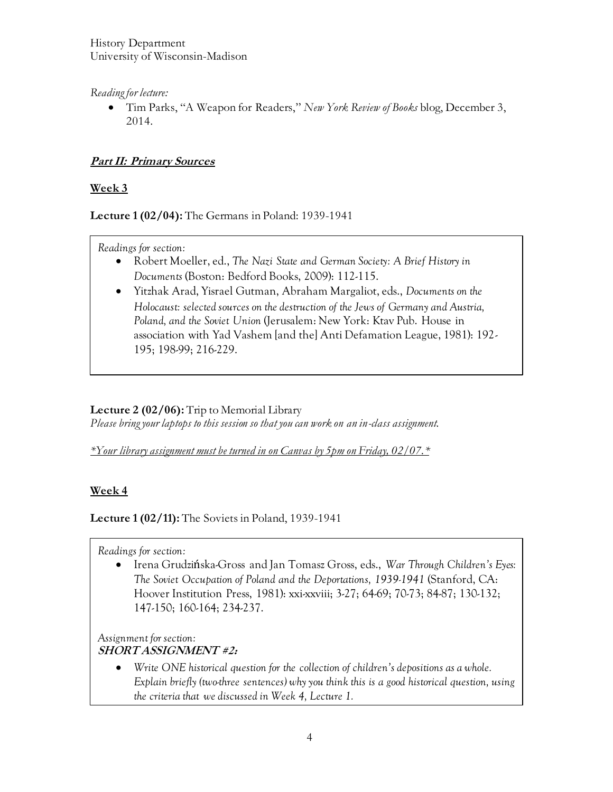*Reading for lecture:*

 Tim Parks, "A Weapon for Readers," *New York Review of Books* blog, December 3, 2014.

## **Part II: Primary Sources**

## **Week 3**

**Lecture 1(02/04):** The Germans in Poland: 1939-1941

*Readings for section:*

- Robert Moeller, ed., *The Nazi State and German Society: A Brief History in Documents* (Boston: Bedford Books, 2009): 112-115.
- Yitzhak Arad, Yisrael Gutman, Abraham Margaliot, eds., *Documents on the Holocaust: selected sources on the destruction of the Jews of Germany and Austria, Poland, and the Soviet Union* (Jerusalem: New York: Ktav Pub. House in association with Yad Vashem [and the] Anti Defamation League, 1981): 192- 195; 198-99; 216-229.

## **Lecture 2 (02/06):** Trip to Memorial Library

*Please bring your laptops to this session so that you can work on an in-class assignment.*

*\*Your library assignment must be turned in on Canvas by 5pm on Friday, 02/07.\**

## **Week 4**

**Lecture 1(02/11):** The Soviets in Poland, 1939-1941

*Readings for section:*

 Irena Grudzińska-Gross and Jan Tomasz Gross, eds., *War Through Children's Eyes: The Soviet Occupation of Poland and the Deportations, 1939-1941* (Stanford, CA: Hoover Institution Press, 1981): xxi-xxviii; 3-27; 64-69; 70-73; 84-87; 130-132; 147-150; 160-164; 234-237.

*Assignment for section:*

# **SHORT ASSIGNMENT #2:**

 *Write ONE historical question for the collection of children's depositions as a whole. Explain briefly (two-three sentences) why you think this is a good historical question, using the criteria that we discussed in Week 4, Lecture 1.*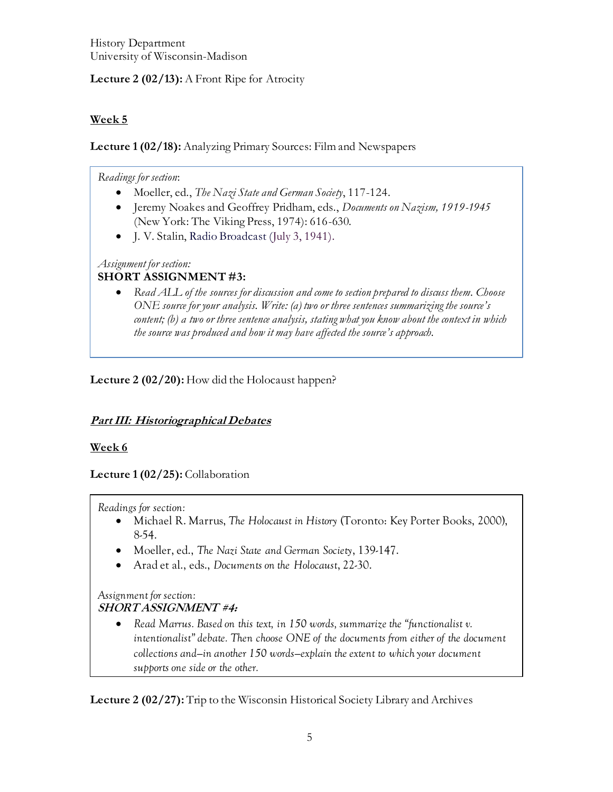**Lecture 2 (02/13):** A Front Ripe for Atrocity

## **Week 5**

### **Lecture 1(02/18):** Analyzing Primary Sources: Film and Newspapers

*Readings for section*:

- Moeller, ed., *The Nazi State and German Society*, 117-124.
- Jeremy Noakes and Geoffrey Pridham, eds., *Documents on Nazism, 1919-1945* (New York: The Viking Press, 1974): 616-630.
- J. V. Stalin, Radio Broadcast (July 3, 1941).

*Assignment for section:*

### **SHORT ASSIGNMENT #3:**

 *Read ALL of the sources for discussion and come to section prepared to discuss them. Choose ONE source for your analysis. Write: (a) two or three sentences summarizing the source's content; (b) a two or three sentence analysis, stating what you know about the context in which the source was produced and how it may have affected the source's approach.* 

**Lecture 2 (02/20):** How did the Holocaust happen?

## **Part III: Historiographical Debates**

### **Week 6**

**Lecture 1(02/25):** Collaboration

*Readings for section:*

- Michael R. Marrus, *The Holocaust in History* (Toronto: Key Porter Books, 2000), 8-54.
- Moeller, ed., *The Nazi State and German Society*, 139-147.
- Arad et al., eds., *Documents on the Holocaust*, 22-30.

*Assignment for section:*

**SHORT ASSIGNMENT #4:**

 *Read Marrus. Based on this text, in 150 words, summarize the "functionalist v. intentionalist" debate. Then choose ONE of the documents from either of the document collections and—in another 150 words—explain the extent to which your document supports one side or the other.* 

**Lecture 2 (02/27):** Trip to the Wisconsin Historical Society Library and Archives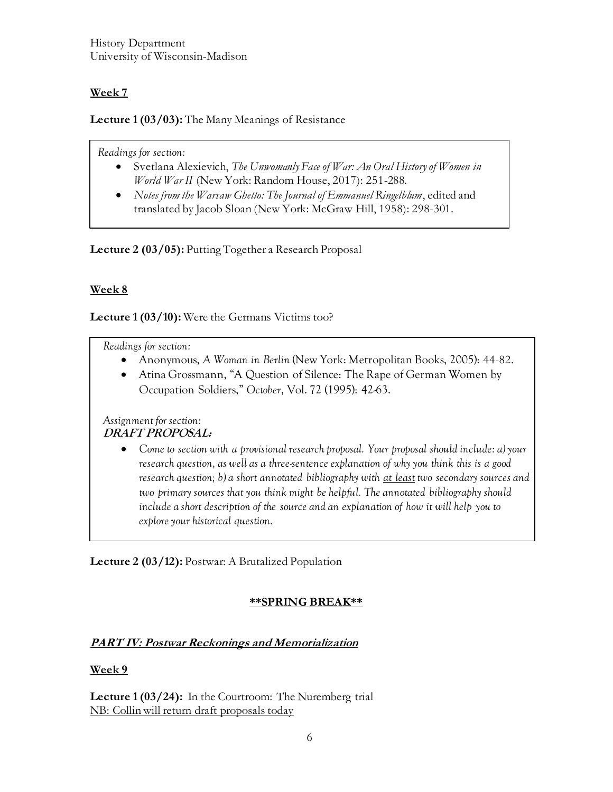## **Week 7**

## **Lecture 1(03/03):** The Many Meanings of Resistance

*Readings for section:*

- Svetlana Alexievich, *The Unwomanly Face of War: An Oral History of Women in World War II* (New York: Random House, 2017): 251-288.
- *Notes from the Warsaw Ghetto: The Journal of Emmanuel Ringelblum*, edited and translated by Jacob Sloan (New York: McGraw Hill, 1958): 298-301.

**Lecture 2 (03/05):** Putting Together a Research Proposal

## **Week 8**

**Lecture 1(03/10):** Were the Germans Victims too?

*Readings for section:*

- Anonymous, *A Woman in Berlin* (New York: Metropolitan Books, 2005): 44-82.
- Atina Grossmann, "A Question of Silence: The Rape of German Women by Occupation Soldiers," *October*, Vol. 72 (1995): 42-63.

*Assignment for section:* **DRAFT PROPOSAL:**

> *Come to section with a provisional research proposal. Your proposal should include: a) your research question, as well as a three-sentence explanation of why you think this is a good research question; b) a short annotated bibliography with at least two secondary sources and two primary sources that you think might be helpful. The annotated bibliography should*  include a short description of the source and an explanation of how it will help you to *explore your historical question.*

**Lecture 2 (03/12):** Postwar: A Brutalized Population

## **\*\*SPRING BREAK\*\***

## **PART IV: Postwar Reckonings and Memorialization**

## **Week 9**

**Lecture 1(03/24):** In the Courtroom: The Nuremberg trial NB: Collin will return draft proposals today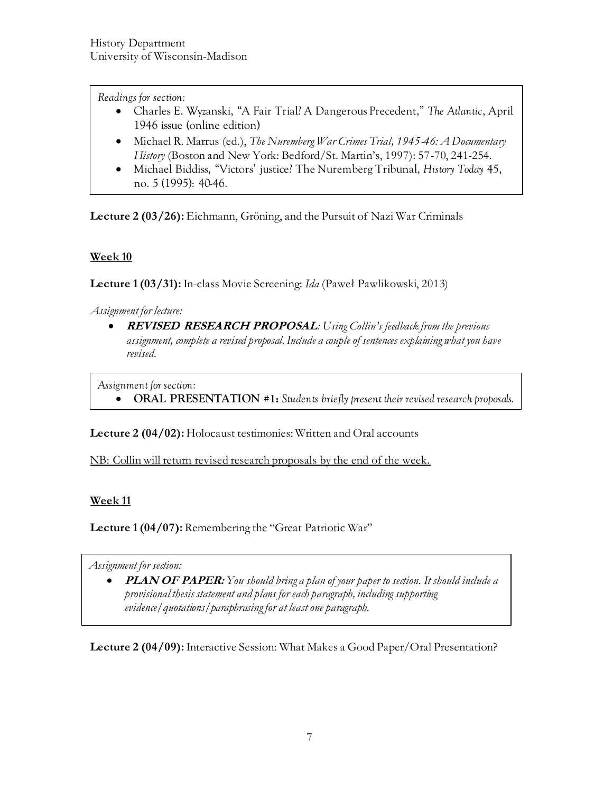*Readings for section:*

- Charles E. Wyzanski, "A Fair Trial? A Dangerous Precedent," *The Atlantic*, April 1946 issue (online edition)
- Michael R. Marrus (ed.), *The Nuremberg War Crimes Trial, 1945-46: A Documentary History* (Boston and New York: Bedford/St. Martin's, 1997): 57-70, 241-254.
- Michael Biddiss, "Victors' justice? The Nuremberg Tribunal, *History Today* 45, no. 5 (1995): 40-46.

**Lecture 2 (03/26):** Eichmann, Gröning, and the Pursuit of Nazi War Criminals

## **Week 10**

**Lecture 1(03/31):** In-class Movie Screening: *Ida* (Paweł Pawlikowski, 2013)

*Assignment for lecture:*

 **REVISED RESEARCH PROPOSAL***: Using Collin's feedback from the previous assignment, complete a revised proposal. Include a couple of sentences explaining what you have revised.* 

*Assignment for section:*

**ORAL PRESENTATION #1:** *Students briefly present their revised research proposals.* 

**Lecture 2 (04/02):** Holocaust testimonies: Written and Oral accounts

NB: Collin will return revised research proposals by the end of the week.

### **Week 11**

**Lecture 1 (04/07):** Remembering the "Great Patriotic War"

*Assignment for section:*

 **PLAN OF PAPER:** *You should bring a plan of your paper to section. It should include a provisional thesis statement and plans for each paragraph, including supporting evidence/quotations/paraphrasing for at least one paragraph.*

**Lecture 2 (04/09):** Interactive Session: What Makes a Good Paper/Oral Presentation?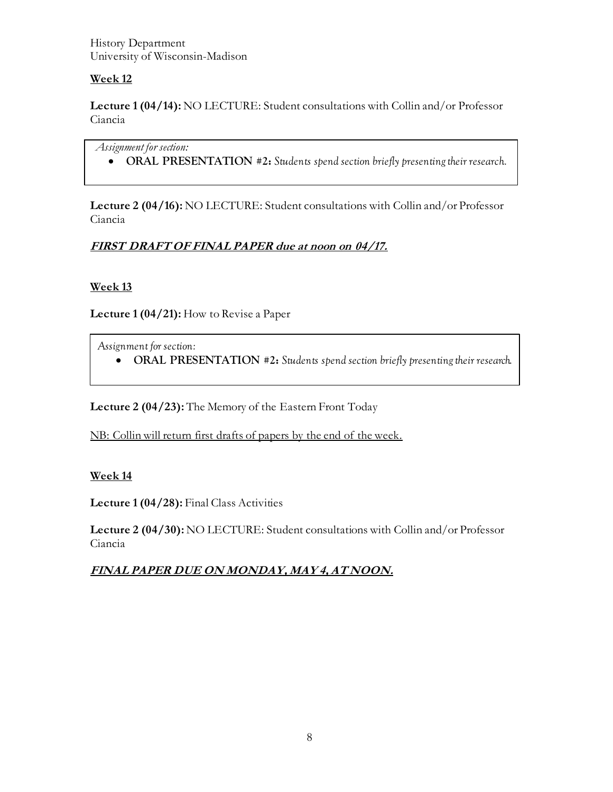## **Week 12**

**Lecture 1(04/14):** NO LECTURE: Student consultations with Collin and/or Professor Ciancia

*Assignment for section:*

**ORAL PRESENTATION #2:** *Students spend section briefly presenting their research.* 

**Lecture 2 (04/16):** NO LECTURE: Student consultations with Collin and/or Professor Ciancia

## **FIRST DRAFT OF FINAL PAPER due at noon on 04/17.**

### **Week 13**

**Lecture 1(04/21):** How to Revise a Paper

*Assignment for section:* 

**ORAL PRESENTATION #2:** *Students spend section briefly presenting their research.* 

**Lecture 2 (04/23):** The Memory of the Eastern Front Today

NB: Collin will return first drafts of papers by the end of the week.

#### **Week 14**

**Lecture 1(04/28):** Final Class Activities

**Lecture 2 (04/30):** NO LECTURE: Student consultations with Collin and/or Professor Ciancia

### **FINAL PAPER DUE ON MONDAY, MAY 4, AT NOON.**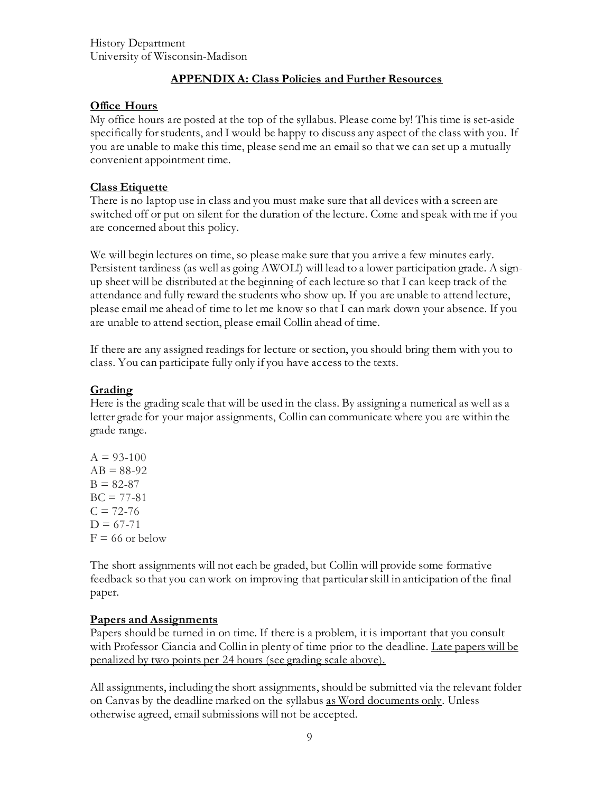## **APPENDIX A: Class Policies and Further Resources**

## **Office Hours**

My office hours are posted at the top of the syllabus. Please come by! This time is set-aside specifically for students, and I would be happy to discuss any aspect of the class with you. If you are unable to make this time, please send me an email so that we can set up a mutually convenient appointment time.

## **Class Etiquette**

There is no laptop use in class and you must make sure that all devices with a screen are switched off or put on silent for the duration of the lecture. Come and speak with me if you are concerned about this policy.

We will begin lectures on time, so please make sure that you arrive a few minutes early. Persistent tardiness (as well as going AWOL!) will lead to a lower participation grade. A signup sheet will be distributed at the beginning of each lecture so that I can keep track of the attendance and fully reward the students who show up. If you are unable to attend lecture, please email me ahead of time to let me know so that I can mark down your absence. If you are unable to attend section, please email Collin ahead of time.

If there are any assigned readings for lecture or section, you should bring them with you to class. You can participate fully only if you have access to the texts.

## **Grading**

Here is the grading scale that will be used in the class. By assigning a numerical as well as a letter grade for your major assignments, Collin can communicate where you are within the grade range.

 $A = 93-100$  $AB = 88-92$  $B = 82-87$  $BC = 77-81$  $C = 72-76$  $D = 67 - 71$  $F = 66$  or below

The short assignments will not each be graded, but Collin will provide some formative feedback so that you can work on improving that particular skill in anticipation of the final paper.

## **Papers and Assignments**

Papers should be turned in on time. If there is a problem, it is important that you consult with Professor Ciancia and Collin in plenty of time prior to the deadline. Late papers will be penalized by two points per 24 hours (see grading scale above).

All assignments, including the short assignments, should be submitted via the relevant folder on Canvas by the deadline marked on the syllabus as Word documents only. Unless otherwise agreed, email submissions will not be accepted.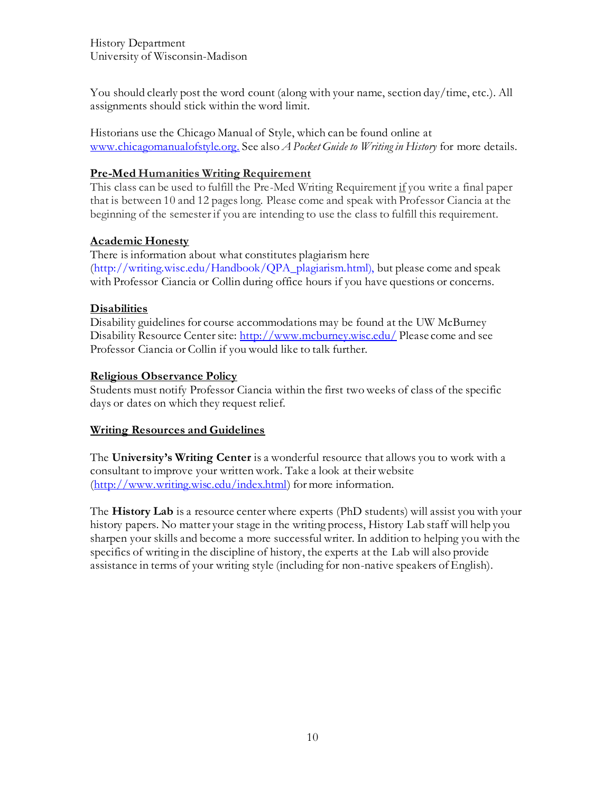You should clearly post the word count (along with your name, section day/time, etc.). All assignments should stick within the word limit.

Historians use the Chicago Manual of Style, which can be found online at [www.chicagomanualofstyle.org.](http://www.chicagomanualofstyle.org/) See also *A Pocket Guide to Writing in History* for more details.

### **Pre-Med Humanities Writing Requirement**

This class can be used to fulfill the Pre-Med Writing Requirement if you write a final paper that is between 10 and 12 pages long. Please come and speak with Professor Ciancia at the beginning of the semester if you are intending to use the class to fulfill this requirement.

### **Academic Honesty**

There is information about what constitutes plagiarism here (http://writing.wisc.edu/Handbook/QPA\_plagiarism.html), but please come and speak with Professor Ciancia or Collin during office hours if you have questions or concerns.

### **Disabilities**

Disability guidelines for course accommodations may be found at the UW McBurney Disability Resource Center site[: http://www.mcburney.wisc.edu/](http://www.mcburney.wisc.edu/) Please come and see Professor Ciancia or Collin if you would like to talk further.

### **Religious Observance Policy**

Students must notify Professor Ciancia within the first two weeks of class of the specific days or dates on which they request relief.

## **Writing Resources and Guidelines**

The **University's Writing Center** is a wonderful resource that allows you to work with a consultant to improve your written work. Take a look at their website [\(http://www.writing.wisc.edu/index.html\)](http://www.writing.wisc.edu/index.html) for more information.

The **History Lab** is a resource center where experts (PhD students) will assist you with your history papers. No matter your stage in the writing process, History Lab staff will help you sharpen your skills and become a more successful writer. In addition to helping you with the specifics of writing in the discipline of history, the experts at the Lab will also provide assistance in terms of your writing style (including for non-native speakers of English).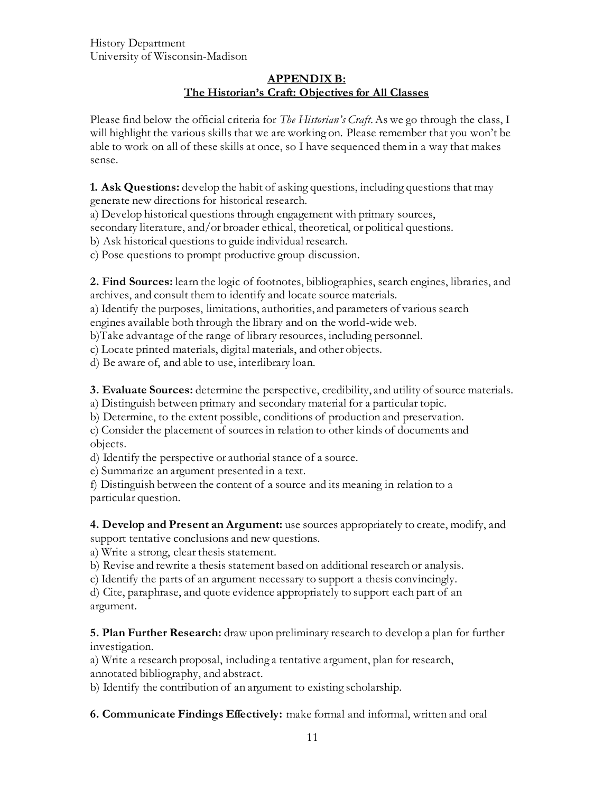### **APPENDIX B: The Historian's Craft: Objectives for All Classes**

Please find below the official criteria for *The Historian's Craft*.As we go through the class, I will highlight the various skills that we are working on. Please remember that you won't be able to work on all of these skills at once, so I have sequenced them in a way that makes sense.

**1. Ask Questions:** develop the habit of asking questions, including questions that may generate new directions for historical research.

a) Develop historical questions through engagement with primary sources,

secondary literature, and/or broader ethical, theoretical, or political questions.

b) Ask historical questions to guide individual research.

c) Pose questions to prompt productive group discussion.

**2. Find Sources:** learn the logic of footnotes, bibliographies, search engines, libraries, and archives, and consult them to identify and locate source materials.

a) Identify the purposes, limitations, authorities, and parameters of various search

engines available both through the library and on the world-wide web.

b)Take advantage of the range of library resources, including personnel.

c) Locate printed materials, digital materials, and other objects.

d) Be aware of, and able to use, interlibrary loan.

**3. Evaluate Sources:** determine the perspective, credibility, and utility of source materials.

a) Distinguish between primary and secondary material for a particular topic.

b) Determine, to the extent possible, conditions of production and preservation.

c) Consider the placement of sources in relation to other kinds of documents and objects.

d) Identify the perspective or authorial stance of a source.

e) Summarize an argument presented in a text.

f) Distinguish between the content of a source and its meaning in relation to a particular question.

**4. Develop and Present an Argument:** use sources appropriately to create, modify, and support tentative conclusions and new questions.

a) Write a strong, clear thesis statement.

b) Revise and rewrite a thesis statement based on additional research or analysis.

c) Identify the parts of an argument necessary to support a thesis convincingly.

d) Cite, paraphrase, and quote evidence appropriately to support each part of an argument.

**5. Plan Further Research:** draw upon preliminary research to develop a plan for further investigation.

a) Write a research proposal, including a tentative argument, plan for research, annotated bibliography, and abstract.

b) Identify the contribution of an argument to existing scholarship.

**6. Communicate Findings Effectively:** make formal and informal, written and oral